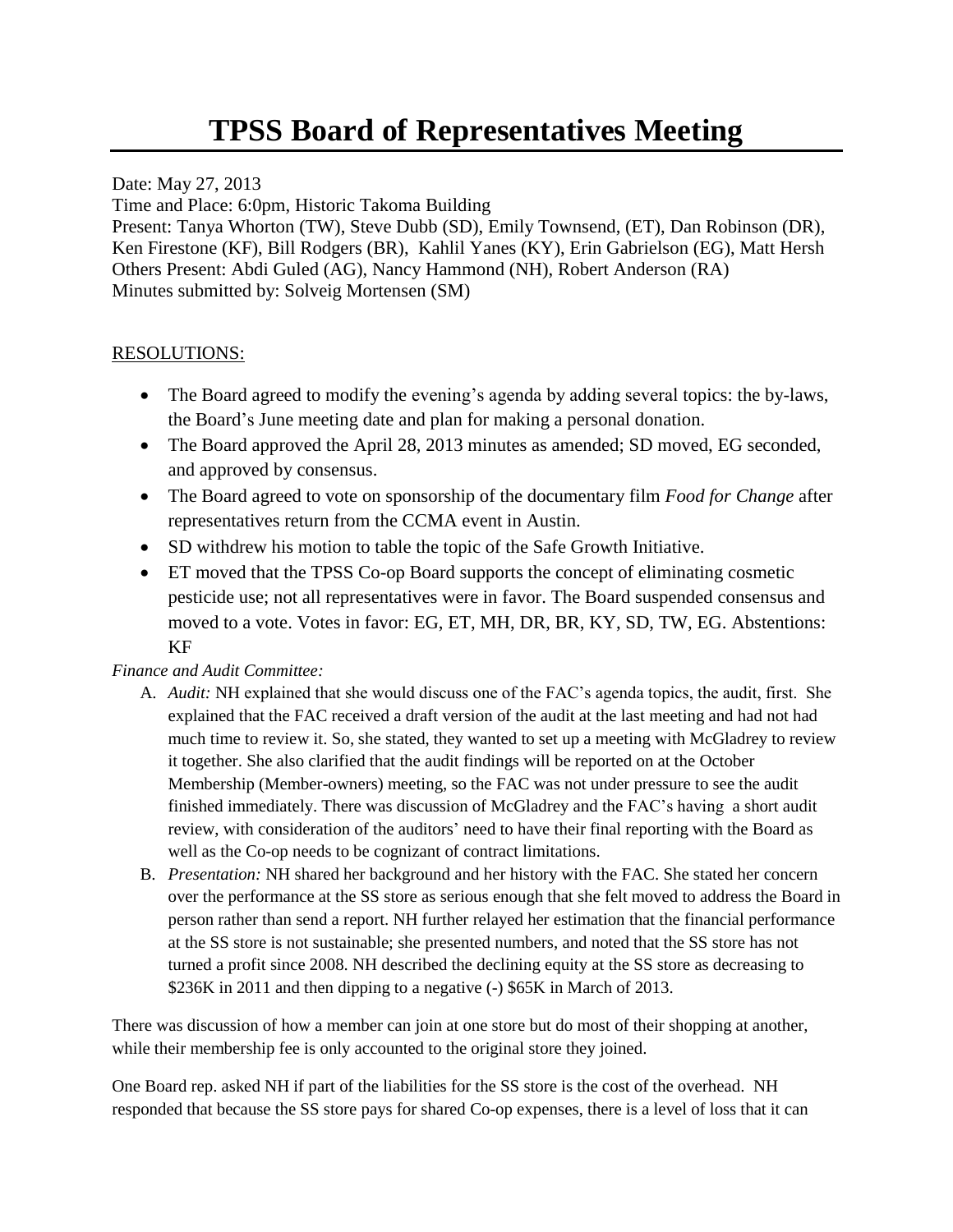Date: May 27, 2013

Time and Place: 6:0pm, Historic Takoma Building

Present: Tanya Whorton (TW), Steve Dubb (SD), Emily Townsend, (ET), Dan Robinson (DR), Ken Firestone (KF), Bill Rodgers (BR), Kahlil Yanes (KY), Erin Gabrielson (EG), Matt Hersh Others Present: Abdi Guled (AG), Nancy Hammond (NH), Robert Anderson (RA) Minutes submitted by: Solveig Mortensen (SM)

## RESOLUTIONS:

- The Board agreed to modify the evening's agenda by adding several topics: the by-laws, the Board's June meeting date and plan for making a personal donation.
- The Board approved the April 28, 2013 minutes as amended; SD moved, EG seconded, and approved by consensus.
- The Board agreed to vote on sponsorship of the documentary film *Food for Change* after representatives return from the CCMA event in Austin.
- SD withdrew his motion to table the topic of the Safe Growth Initiative.
- ET moved that the TPSS Co-op Board supports the concept of eliminating cosmetic pesticide use; not all representatives were in favor. The Board suspended consensus and moved to a vote. Votes in favor: EG, ET, MH, DR, BR, KY, SD, TW, EG. Abstentions: KF

## *Finance and Audit Committee:*

- A. *Audit:* NH explained that she would discuss one of the FAC's agenda topics, the audit, first. She explained that the FAC received a draft version of the audit at the last meeting and had not had much time to review it. So, she stated, they wanted to set up a meeting with McGladrey to review it together. She also clarified that the audit findings will be reported on at the October Membership (Member-owners) meeting, so the FAC was not under pressure to see the audit finished immediately. There was discussion of McGladrey and the FAC's having a short audit review, with consideration of the auditors' need to have their final reporting with the Board as well as the Co-op needs to be cognizant of contract limitations.
- B. *Presentation:* NH shared her background and her history with the FAC. She stated her concern over the performance at the SS store as serious enough that she felt moved to address the Board in person rather than send a report. NH further relayed her estimation that the financial performance at the SS store is not sustainable; she presented numbers, and noted that the SS store has not turned a profit since 2008. NH described the declining equity at the SS store as decreasing to \$236K in 2011 and then dipping to a negative (-) \$65K in March of 2013.

There was discussion of how a member can join at one store but do most of their shopping at another, while their membership fee is only accounted to the original store they joined.

One Board rep. asked NH if part of the liabilities for the SS store is the cost of the overhead. NH responded that because the SS store pays for shared Co-op expenses, there is a level of loss that it can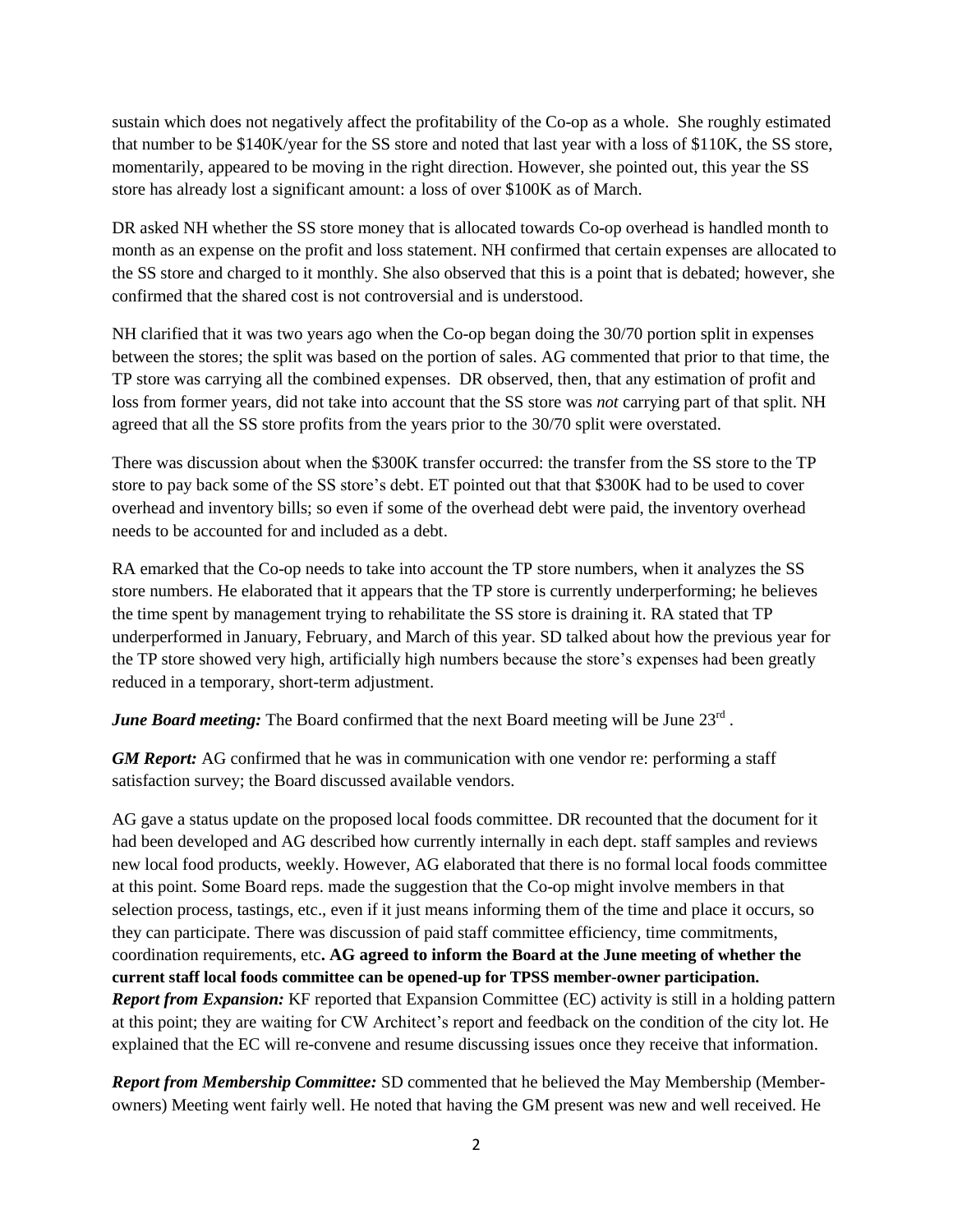sustain which does not negatively affect the profitability of the Co-op as a whole. She roughly estimated that number to be \$140K/year for the SS store and noted that last year with a loss of \$110K, the SS store, momentarily, appeared to be moving in the right direction. However, she pointed out, this year the SS store has already lost a significant amount: a loss of over \$100K as of March.

DR asked NH whether the SS store money that is allocated towards Co-op overhead is handled month to month as an expense on the profit and loss statement. NH confirmed that certain expenses are allocated to the SS store and charged to it monthly. She also observed that this is a point that is debated; however, she confirmed that the shared cost is not controversial and is understood.

NH clarified that it was two years ago when the Co-op began doing the 30/70 portion split in expenses between the stores; the split was based on the portion of sales. AG commented that prior to that time, the TP store was carrying all the combined expenses. DR observed, then, that any estimation of profit and loss from former years, did not take into account that the SS store was *not* carrying part of that split. NH agreed that all the SS store profits from the years prior to the 30/70 split were overstated.

There was discussion about when the \$300K transfer occurred: the transfer from the SS store to the TP store to pay back some of the SS store's debt. ET pointed out that that \$300K had to be used to cover overhead and inventory bills; so even if some of the overhead debt were paid, the inventory overhead needs to be accounted for and included as a debt.

RA emarked that the Co-op needs to take into account the TP store numbers, when it analyzes the SS store numbers. He elaborated that it appears that the TP store is currently underperforming; he believes the time spent by management trying to rehabilitate the SS store is draining it. RA stated that TP underperformed in January, February, and March of this year. SD talked about how the previous year for the TP store showed very high, artificially high numbers because the store's expenses had been greatly reduced in a temporary, short-term adjustment.

June Board meeting: The Board confirmed that the next Board meeting will be June 23<sup>rd</sup>.

*GM Report:* AG confirmed that he was in communication with one vendor re: performing a staff satisfaction survey; the Board discussed available vendors.

AG gave a status update on the proposed local foods committee. DR recounted that the document for it had been developed and AG described how currently internally in each dept. staff samples and reviews new local food products, weekly. However, AG elaborated that there is no formal local foods committee at this point. Some Board reps. made the suggestion that the Co-op might involve members in that selection process, tastings, etc., even if it just means informing them of the time and place it occurs, so they can participate. There was discussion of paid staff committee efficiency, time commitments, coordination requirements, etc**. AG agreed to inform the Board at the June meeting of whether the current staff local foods committee can be opened-up for TPSS member-owner participation.** *Report from Expansion:* KF reported that Expansion Committee (EC) activity is still in a holding pattern at this point; they are waiting for CW Architect's report and feedback on the condition of the city lot. He explained that the EC will re-convene and resume discussing issues once they receive that information.

*Report from Membership Committee:* SD commented that he believed the May Membership (Memberowners) Meeting went fairly well. He noted that having the GM present was new and well received. He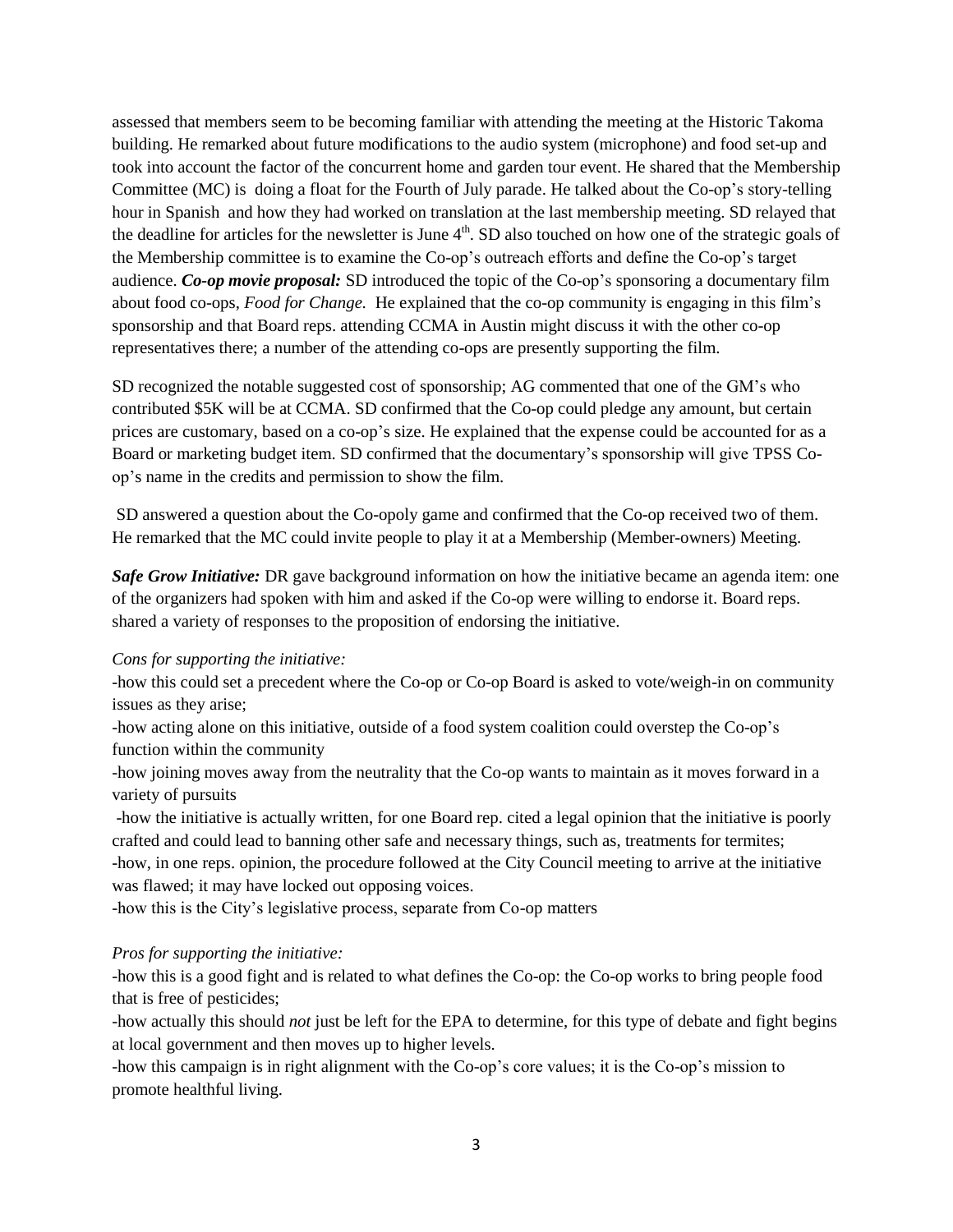assessed that members seem to be becoming familiar with attending the meeting at the Historic Takoma building. He remarked about future modifications to the audio system (microphone) and food set-up and took into account the factor of the concurrent home and garden tour event. He shared that the Membership Committee (MC) is doing a float for the Fourth of July parade. He talked about the Co-op's story-telling hour in Spanish and how they had worked on translation at the last membership meeting. SD relayed that the deadline for articles for the newsletter is June  $4<sup>th</sup>$ . SD also touched on how one of the strategic goals of the Membership committee is to examine the Co-op's outreach efforts and define the Co-op's target audience. *Co-op movie proposal:* SD introduced the topic of the Co-op's sponsoring a documentary film about food co-ops, *Food for Change.* He explained that the co-op community is engaging in this film's sponsorship and that Board reps. attending CCMA in Austin might discuss it with the other co-op representatives there; a number of the attending co-ops are presently supporting the film.

SD recognized the notable suggested cost of sponsorship; AG commented that one of the GM's who contributed \$5K will be at CCMA. SD confirmed that the Co-op could pledge any amount, but certain prices are customary, based on a co-op's size. He explained that the expense could be accounted for as a Board or marketing budget item. SD confirmed that the documentary's sponsorship will give TPSS Coop's name in the credits and permission to show the film.

SD answered a question about the Co-opoly game and confirmed that the Co-op received two of them. He remarked that the MC could invite people to play it at a Membership (Member-owners) Meeting.

*Safe Grow Initiative:* DR gave background information on how the initiative became an agenda item: one of the organizers had spoken with him and asked if the Co-op were willing to endorse it. Board reps. shared a variety of responses to the proposition of endorsing the initiative.

## *Cons for supporting the initiative:*

-how this could set a precedent where the Co-op or Co-op Board is asked to vote/weigh-in on community issues as they arise;

-how acting alone on this initiative, outside of a food system coalition could overstep the Co-op's function within the community

-how joining moves away from the neutrality that the Co-op wants to maintain as it moves forward in a variety of pursuits

-how the initiative is actually written, for one Board rep. cited a legal opinion that the initiative is poorly crafted and could lead to banning other safe and necessary things, such as, treatments for termites; -how, in one reps. opinion, the procedure followed at the City Council meeting to arrive at the initiative was flawed; it may have locked out opposing voices.

-how this is the City's legislative process, separate from Co-op matters

## *Pros for supporting the initiative:*

-how this is a good fight and is related to what defines the Co-op: the Co-op works to bring people food that is free of pesticides;

-how actually this should *not* just be left for the EPA to determine, for this type of debate and fight begins at local government and then moves up to higher levels.

-how this campaign is in right alignment with the Co-op's core values; it is the Co-op's mission to promote healthful living.